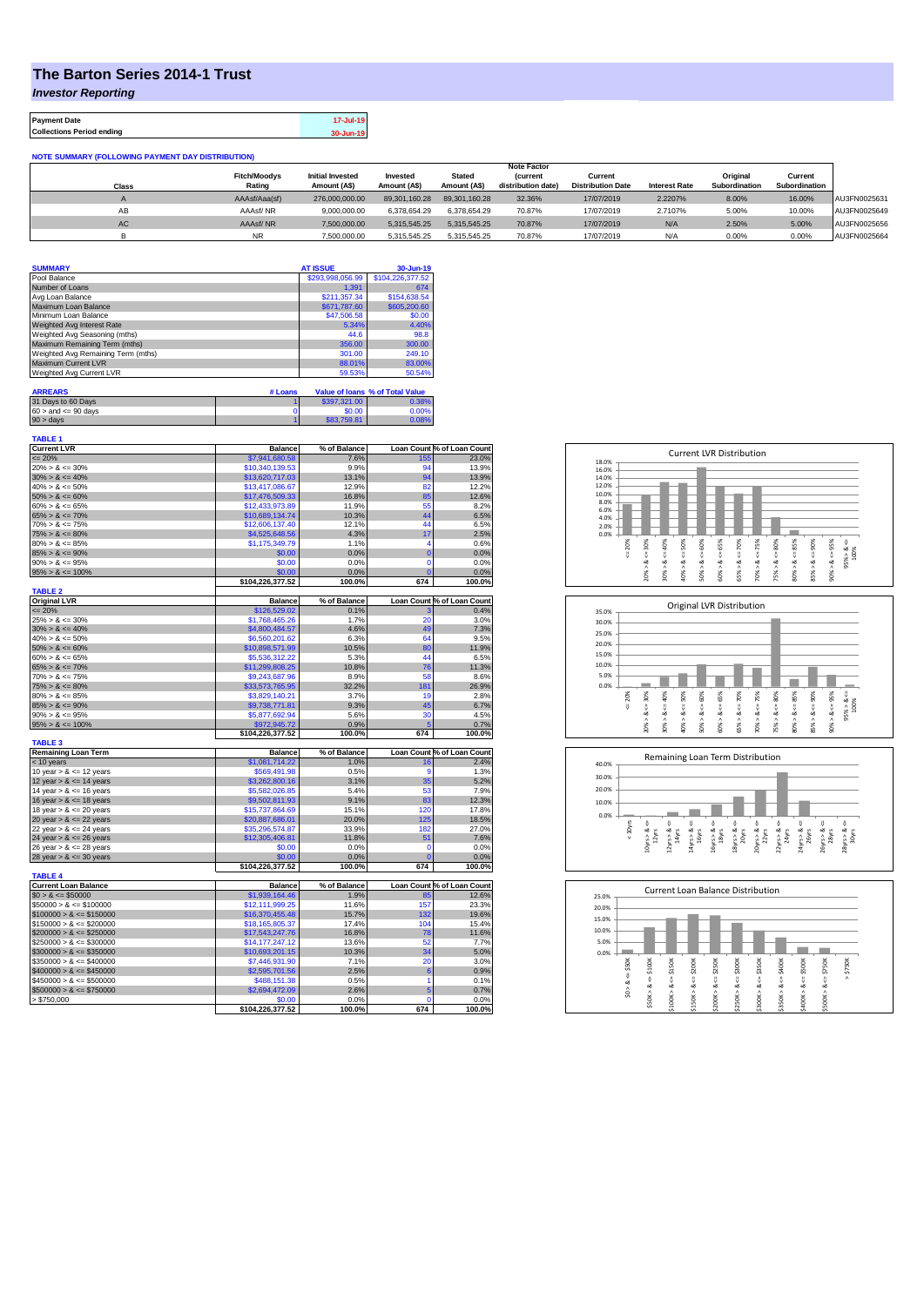## **The Barton Series 2014-1 Trust**

*Investor Reporting*

**Payment Date 17-Jul-19 Collections Period ending 30-Jun-19**

| <b>NOTE SUMMARY (FOLLOWING PAYMENT DAY DISTRIBUTION)</b> |  |
|----------------------------------------------------------|--|

|       |                     |                         |               |               | <b>Note Factor</b> |                          |                      |               |               |              |
|-------|---------------------|-------------------------|---------------|---------------|--------------------|--------------------------|----------------------|---------------|---------------|--------------|
|       | <b>Fitch/Moodys</b> | <b>Initial Invested</b> | Invested      | <b>Stated</b> | <b>(current</b>    | Current                  |                      | Original      | Current       |              |
| Class | Rating              | Amount (A\$)            | Amount (A\$)  | Amount (A\$)  | distribution date) | <b>Distribution Date</b> | <b>Interest Rate</b> | Subordination | Subordination |              |
|       | AAAsf/Aaa(sf)       | 276,000,000.00          | 89.301.160.28 | 89.301.160.28 | 32.36%             | 17/07/2019               | 2.2207%              | 8.00%         | 16.00%        | AU3FN0025631 |
| AB    | AAAsf/NR            | 9.000.000.00            | 6.378.654.29  | 6.378.654.29  | 70.87%             | 17/07/2019               | 2.7107%              | 5.00%         | 10.00%        | AU3FN0025649 |
| AC    | AAAsf/NR            | 7,500,000.00            | 5.315.545.25  | 5.315.545.25  | 70.87%             | 17/07/2019               | N/A                  | 2.50%         | 5.00%         | AU3FN0025656 |
|       | <b>NR</b>           | 7.500.000.00            | 5.315.545.25  | 5.315.545.25  | 70.87%             | 17/07/2019               | N/A                  | 0.00%         | $0.00\%$      | AU3FN0025664 |

| <b>SUMMARY</b>                     | <b>AT ISSUE</b>  | 30-Jun-19                       |
|------------------------------------|------------------|---------------------------------|
| Pool Balance                       | \$293.998.056.99 | \$104.226.377.52                |
| Number of Loans                    | 1.391            | 674                             |
| Avg Loan Balance                   | \$211.357.34     | \$154,638.54                    |
| Maximum Loan Balance               | \$671,787.60     | \$605,200.60                    |
| Minimum Loan Balance               | \$47,506.58      | \$0.00                          |
| Weighted Avg Interest Rate         | 5.34%            | 4.40%                           |
| Weighted Avg Seasoning (mths)      | 44.6             | 98.8                            |
| Maximum Remaining Term (mths)      | 356.00           | 300.00                          |
| Weighted Avg Remaining Term (mths) | 301.00           | 249.10                          |
| <b>Maximum Current LVR</b>         | 88.01%           | 83.00%                          |
| Weighted Avg Current LVR           | 59.53%           | 50.54%                          |
| <b>ARREARS</b><br># Loans          |                  | Value of Ioans % of Total Value |

| 31 Days to 60 Days        | \$397,321.00 | 0.38% |
|---------------------------|--------------|-------|
| $60 >$ and $\leq 90$ days | \$0.00       | 0.00% |
| $90 >$ days               | \$83,759.81  | 0.08% |

| <b>TABLE 1</b>              |                  |              |                |                            |
|-----------------------------|------------------|--------------|----------------|----------------------------|
| <b>Current LVR</b>          | <b>Balance</b>   | % of Balance |                | Loan Count % of Loan Count |
| $\leq$ 20%                  | \$7,941,680.58   | 7.6%         | 155            | 23.0%                      |
| $20\% > 8 \le 30\%$         | \$10.340.139.53  | 9.9%         | 94<br>94       | 13.9%                      |
| $30\% > 8 \le 40\%$         | \$13,620,717.03  | 13.1%        |                | 13.9%                      |
| $40\% > 8 \le 50\%$         | \$13,417,086.67  | 12.9%        | 82             | 12.2%                      |
| $50\% > 8 \le 60\%$         | \$17,476,509.33  | 16.8%        | 85             | 12.6%                      |
| $60\% > 8 \le 65\%$         | \$12,433,973.89  | 11.9%        | 55             | 8.2%                       |
| $65\% > 8 \le 70\%$         | \$10,689,134.74  | 10.3%        | 44             | 6.5%                       |
| $70\% > 8 \le 75\%$         | \$12,606,137.40  | 12.1%        | 44             | 6.5%                       |
| $75\% > 8 \le 80\%$         | \$4,525,648.56   | 4.3%         | 17             | 2.5%                       |
| $80\% > 8 \le 85\%$         | \$1,175,349.79   | 1.1%         | 4              | 0.6%                       |
| $85\% > 8 \le 90\%$         | \$0.00           | 0.0%         | $\overline{0}$ | 0.0%                       |
| $90\% > 8 \le 95\%$         | \$0.00           | 0.0%         | 0              | 0.0%                       |
| $95\% > 8 \le 100\%$        | \$0.00           | 0.0%         | r              | 0.0%                       |
|                             | \$104,226,377.52 | 100.0%       | 674            | 100.0%                     |
| <b>TABLE 2</b>              |                  |              |                |                            |
| <b>Original LVR</b>         | <b>Balance</b>   | % of Balance |                | Loan Count % of Loan Count |
| $= 20%$                     | \$126,529.02     | 0.1%         |                | 0.4%                       |
| $25\% > 8 \le 30\%$         | \$1,768,465.26   | 1.7%         | 20             | 3.0%                       |
| $30\% > 8 \le 40\%$         | \$4,800,484.57   | 4.6%         | 49             | 7.3%                       |
| $40\% > 8 \le 50\%$         | \$6,560,201.62   | 6.3%         | 64             | 9.5%                       |
| $50\% > 8 \le 60\%$         | \$10,898,571.99  | 10.5%        | 80             | 11.9%                      |
| $60\% > 8 \le 65\%$         | \$5,536,312.22   | 5.3%         | 44             | 6.5%                       |
| $65\% > 8 \le 70\%$         | \$11,299,808.25  | 10.8%        | 76             | 11.3%                      |
| $70\% > 8 \le 75\%$         | \$9,243,687.96   | 8.9%         | 58             | 8.6%                       |
| $75\% > 8 \le 80\%$         | \$33,573,765.95  | 32.2%        | 181            | 26.9%                      |
| $80\% > 8 \le 85\%$         | \$3,829,140.21   | 3.7%         | 19             | 2.8%                       |
| $85\% > 8 \le 90\%$         | \$9,738,771.81   | 9.3%         | 45             | 6.7%                       |
| $90\% > 8 \le 95\%$         | \$5,877,692.94   | 5.6%         | 30             | 4.5%                       |
| $95\% > 8 \le 100\%$        | \$972,945.72     | 0.9%         | 5              | 0.7%                       |
|                             | \$104,226,377.52 | 100.0%       | 674            | 100.0%                     |
| <b>TABLE 3</b>              |                  |              |                |                            |
| <b>Remaining Loan Term</b>  | <b>Balance</b>   | % of Balance |                | Loan Count % of Loan Count |
| $<$ 10 years                | \$1,081,714.22   | 1.0%         | 16             | 2.4%                       |
| 10 year $> 8 \le 12$ years  | \$569,491.98     | 0.5%         | g              | 1.3%                       |
| 12 year $> 8 \le 14$ years  | \$3,262,800.16   | 3.1%         | 35             | 5.2%                       |
| 14 year $> 8 \le 16$ years  | \$5,582,026.85   | 5.4%         | 53             | 7.9%                       |
| 16 year $> 8 \le 18$ years  | \$9,502,811.93   | 9.1%         | 83             | 12.3%                      |
| 18 year $> 8 \le 20$ years  | \$15,737,864.69  | 15.1%        | 120            | 17.8%                      |
| 20 year $> 8 \le 22$ years  | \$20,887,686.01  | 20.0%        | 125            | 18.5%                      |
| 22 year $> 8 \le 24$ years  | \$35,296,574.87  | 33.9%        | 182            | 27.0%                      |
| 24 year $> 8 \le 26$ years  | \$12,305,406.81  | 11.8%        | 51             | 7.6%                       |
| 26 year $> 8 \le 28$ years  | \$0.00           | 0.0%         | 0              | 0.0%                       |
| 28 year $> 8 \le 30$ years  | \$0.00           | 0.0%         | O              | 0.0%                       |
| <b>TABLE 4</b>              | \$104,226,377.52 | 100.0%       | 674            | 100.0%                     |
| <b>Current Loan Balance</b> | <b>Balance</b>   | % of Balance |                | Loan Count % of Loan Count |
| $$0 > 8 \le $50000$         | \$1,939,164.46   | 1.9%         | 85             | 12.6%                      |
|                             |                  |              |                |                            |
| $$50000 > 8 \le $100000$    | \$12,111,999.25  | 11.6%        | 157            | 23.3%                      |
| $$100000 > 8 \leq $150000$  | \$16,370,455.48  | 15.7%        | 132            | 19.6%                      |
| $$150000 > 8 \leq $200000$  | \$18,165,805,37  | 17.4%        | 104            | 15.4%                      |
| $$200000 > 8 \leq $250000$  | \$17,543,247.76  | 16.8%        | 78             | 11.6%                      |
| $$250000 > 8 \leq $300000$  | \$14,177,247.12  | 13.6%        | 52             | 7.7%                       |
| $$300000 > 8 \leq $350000$  | \$10,693,201.15  | 10.3%        | 34             | 5.0%                       |
| $$350000 > 8 \le $400000$   | \$7,446,931.90   | 7.1%         | 20             | 3.0%                       |
| $$400000 > 8 \le $450000$   | \$2,595,701.56   | 2.5%         | 6              | 0.9%                       |
| $$450000 > 8 \le $500000$   | \$488,151.38     | 0.5%         | 1              | 0.1%                       |
| $$500000 > 8 \le $750000$   | \$2,694,472.09   | 2.6%         | 5              | 0.7%                       |
| > \$750,000                 | \$0.00           | 0.0%         | $\mathbf 0$    | 0.0%                       |
|                             | \$104,226,377.52 | 100.0%       | 674            | 100.0%                     |







| 25.0%  |        |        |             |        | Current Loan Balance Distribution |        |         |        |         |        |
|--------|--------|--------|-------------|--------|-----------------------------------|--------|---------|--------|---------|--------|
| 20.0%  |        |        |             |        |                                   |        |         |        |         |        |
| 15.0%  |        |        |             |        |                                   |        |         |        |         |        |
| 10.0%  |        |        |             |        |                                   |        |         |        |         |        |
| 5.0%   |        |        |             |        |                                   |        |         |        |         |        |
| 0.0%   |        |        |             |        |                                   |        |         |        |         |        |
| \$50K  | \$100K | \$150K | $4 = $200K$ | \$250K | \$300K                            | \$350K | \$400K  | \$500K | \$750K  | \$750K |
| ő      | ő      | ű      |             | ű      | ű                                 | ű      | ű       |        | V       | Λ      |
| ∞<br>٨ | ಹ      | œ      | œ           | œ      | ಜ                                 | œ      | ∞       | œ      | ∞       |        |
| S.     | \$50K> | Λ      | \$150K>     | Λ      | \$250K>                           |        | \$350K> |        | \$500K> |        |
|        |        | \$100K |             | \$200K |                                   | \$300K |         | \$400K |         |        |